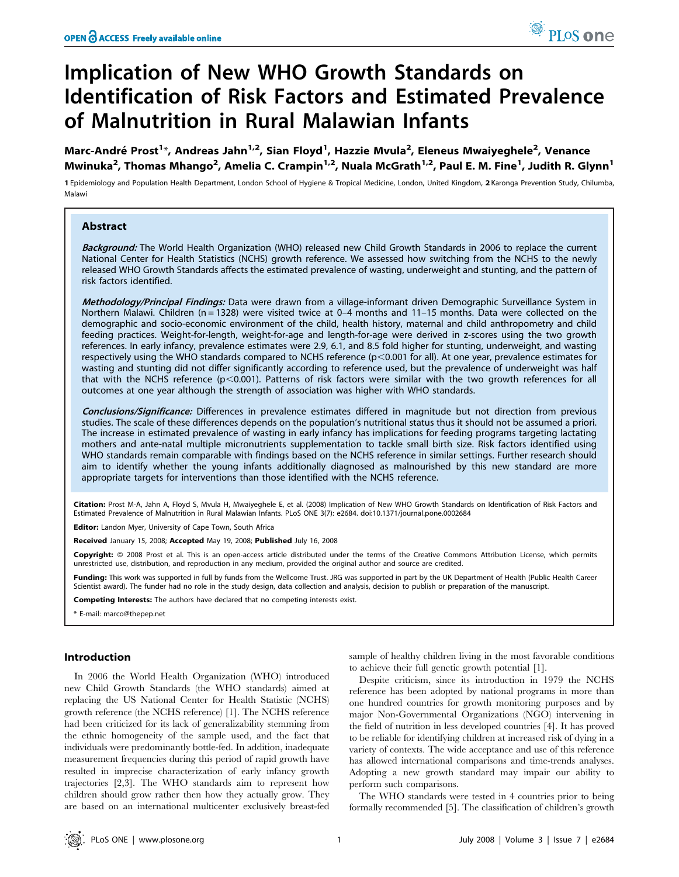# Implication of New WHO Growth Standards on Identification of Risk Factors and Estimated Prevalence of Malnutrition in Rural Malawian Infants

Marc-André Prost<sup>1</sup>\*, Andreas Jahn<sup>1,2</sup>, Sian Floyd<sup>1</sup>, Hazzie Mvula<sup>2</sup>, Eleneus Mwaiyeghele<sup>2</sup>, Venance Mwinuka<sup>2</sup>, Thomas Mhango<sup>2</sup>, Amelia C. Crampin<sup>1,2</sup>, Nuala McGrath<sup>1,2</sup>, Paul E. M. Fine<sup>1</sup>, Judith R. Glynn<sup>1</sup>

1 Epidemiology and Population Health Department, London School of Hygiene & Tropical Medicine, London, United Kingdom, 2 Karonga Prevention Study, Chilumba, Malawi

# Abstract

Background: The World Health Organization (WHO) released new Child Growth Standards in 2006 to replace the current National Center for Health Statistics (NCHS) growth reference. We assessed how switching from the NCHS to the newly released WHO Growth Standards affects the estimated prevalence of wasting, underweight and stunting, and the pattern of risk factors identified.

Methodology/Principal Findings: Data were drawn from a village-informant driven Demographic Surveillance System in Northern Malawi. Children (n = 1328) were visited twice at 0–4 months and 11–15 months. Data were collected on the demographic and socio-economic environment of the child, health history, maternal and child anthropometry and child feeding practices. Weight-for-length, weight-for-age and length-for-age were derived in z-scores using the two growth references. In early infancy, prevalence estimates were 2.9, 6.1, and 8.5 fold higher for stunting, underweight, and wasting respectively using the WHO standards compared to NCHS reference ( $p<$ 0.001 for all). At one year, prevalence estimates for wasting and stunting did not differ significantly according to reference used, but the prevalence of underweight was half that with the NCHS reference ( $p$ <0.001). Patterns of risk factors were similar with the two growth references for all outcomes at one year although the strength of association was higher with WHO standards.

Conclusions/Significance: Differences in prevalence estimates differed in magnitude but not direction from previous studies. The scale of these differences depends on the population's nutritional status thus it should not be assumed a priori. The increase in estimated prevalence of wasting in early infancy has implications for feeding programs targeting lactating mothers and ante-natal multiple micronutrients supplementation to tackle small birth size. Risk factors identified using WHO standards remain comparable with findings based on the NCHS reference in similar settings. Further research should aim to identify whether the young infants additionally diagnosed as malnourished by this new standard are more appropriate targets for interventions than those identified with the NCHS reference.

Citation: Prost M-A, Jahn A, Floyd S, Mvula H, Mwaiyeghele E, et al. (2008) Implication of New WHO Growth Standards on Identification of Risk Factors and Estimated Prevalence of Malnutrition in Rural Malawian Infants. PLoS ONE 3(7): e2684. doi:10.1371/journal.pone.0002684

Editor: Landon Myer, University of Cape Town, South Africa

Received January 15, 2008; Accepted May 19, 2008; Published July 16, 2008

Copyright: @ 2008 Prost et al. This is an open-access article distributed under the terms of the Creative Commons Attribution License, which permits unrestricted use, distribution, and reproduction in any medium, provided the original author and source are credited.

Funding: This work was supported in full by funds from the Wellcome Trust. JRG was supported in part by the UK Department of Health (Public Health Career Scientist award). The funder had no role in the study design, data collection and analysis, decision to publish or preparation of the manuscript.

Competing Interests: The authors have declared that no competing interests exist.

\* E-mail: marco@thepep.net

# Introduction

In 2006 the World Health Organization (WHO) introduced new Child Growth Standards (the WHO standards) aimed at replacing the US National Center for Health Statistic (NCHS) growth reference (the NCHS reference) [1]. The NCHS reference had been criticized for its lack of generalizability stemming from the ethnic homogeneity of the sample used, and the fact that individuals were predominantly bottle-fed. In addition, inadequate measurement frequencies during this period of rapid growth have resulted in imprecise characterization of early infancy growth trajectories [2,3]. The WHO standards aim to represent how children should grow rather then how they actually grow. They are based on an international multicenter exclusively breast-fed

sample of healthy children living in the most favorable conditions to achieve their full genetic growth potential [1].

Despite criticism, since its introduction in 1979 the NCHS reference has been adopted by national programs in more than one hundred countries for growth monitoring purposes and by major Non-Governmental Organizations (NGO) intervening in the field of nutrition in less developed countries [4]. It has proved to be reliable for identifying children at increased risk of dying in a variety of contexts. The wide acceptance and use of this reference has allowed international comparisons and time-trends analyses. Adopting a new growth standard may impair our ability to perform such comparisons.

The WHO standards were tested in 4 countries prior to being formally recommended [5]. The classification of children's growth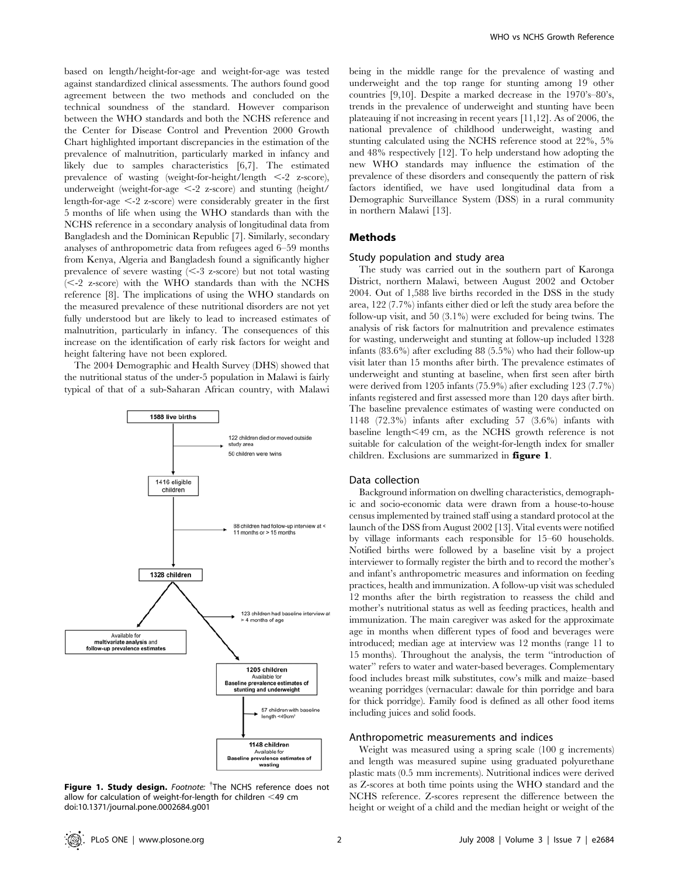based on length/height-for-age and weight-for-age was tested against standardized clinical assessments. The authors found good agreement between the two methods and concluded on the technical soundness of the standard. However comparison between the WHO standards and both the NCHS reference and the Center for Disease Control and Prevention 2000 Growth Chart highlighted important discrepancies in the estimation of the prevalence of malnutrition, particularly marked in infancy and likely due to samples characteristics [6,7]. The estimated prevalence of wasting (weight-for-height/length  $\leq$ -2 z-score), underweight (weight-for-age  $\leq$ -2 z-score) and stunting (height/ length-for-age  $\leq$ -2 z-score) were considerably greater in the first 5 months of life when using the WHO standards than with the NCHS reference in a secondary analysis of longitudinal data from Bangladesh and the Dominican Republic [7]. Similarly, secondary analyses of anthropometric data from refugees aged 6–59 months from Kenya, Algeria and Bangladesh found a significantly higher prevalence of severe wasting  $\leq$ -3 z-score) but not total wasting  $(< -2$  z-score) with the WHO standards than with the NCHS reference [8]. The implications of using the WHO standards on the measured prevalence of these nutritional disorders are not yet fully understood but are likely to lead to increased estimates of malnutrition, particularly in infancy. The consequences of this increase on the identification of early risk factors for weight and height faltering have not been explored.

The 2004 Demographic and Health Survey (DHS) showed that the nutritional status of the under-5 population in Malawi is fairly typical of that of a sub-Saharan African country, with Malawi



Figure 1. Study design. Footnote: <sup>†</sup>The NCHS reference does not allow for calculation of weight-for-length for children  $<$ 49 cm doi:10.1371/journal.pone.0002684.g001

being in the middle range for the prevalence of wasting and underweight and the top range for stunting among 19 other countries [9,10]. Despite a marked decrease in the 1970's–80's, trends in the prevalence of underweight and stunting have been plateauing if not increasing in recent years [11,12]. As of 2006, the national prevalence of childhood underweight, wasting and stunting calculated using the NCHS reference stood at 22%, 5% and 48% respectively [12]. To help understand how adopting the new WHO standards may influence the estimation of the prevalence of these disorders and consequently the pattern of risk factors identified, we have used longitudinal data from a Demographic Surveillance System (DSS) in a rural community in northern Malawi [13].

# Methods

#### Study population and study area

The study was carried out in the southern part of Karonga District, northern Malawi, between August 2002 and October 2004. Out of 1,588 live births recorded in the DSS in the study area, 122 (7.7%) infants either died or left the study area before the follow-up visit, and 50 (3.1%) were excluded for being twins. The analysis of risk factors for malnutrition and prevalence estimates for wasting, underweight and stunting at follow-up included 1328 infants (83.6%) after excluding 88 (5.5%) who had their follow-up visit later than 15 months after birth. The prevalence estimates of underweight and stunting at baseline, when first seen after birth were derived from 1205 infants (75.9%) after excluding 123 (7.7%) infants registered and first assessed more than 120 days after birth. The baseline prevalence estimates of wasting were conducted on 1148 (72.3%) infants after excluding 57 (3.6%) infants with baseline length $\leq$ 49 cm, as the NCHS growth reference is not suitable for calculation of the weight-for-length index for smaller children. Exclusions are summarized in **figure 1**.

#### Data collection

Background information on dwelling characteristics, demographic and socio-economic data were drawn from a house-to-house census implemented by trained staff using a standard protocol at the launch of the DSS from August 2002 [13]. Vital events were notified by village informants each responsible for 15–60 households. Notified births were followed by a baseline visit by a project interviewer to formally register the birth and to record the mother's and infant's anthropometric measures and information on feeding practices, health and immunization. A follow-up visit was scheduled 12 months after the birth registration to reassess the child and mother's nutritional status as well as feeding practices, health and immunization. The main caregiver was asked for the approximate age in months when different types of food and beverages were introduced; median age at interview was 12 months (range 11 to 15 months). Throughout the analysis, the term ''introduction of water'' refers to water and water-based beverages. Complementary food includes breast milk substitutes, cow's milk and maize–based weaning porridges (vernacular: dawale for thin porridge and bara for thick porridge). Family food is defined as all other food items including juices and solid foods.

# Anthropometric measurements and indices

Weight was measured using a spring scale (100 g increments) and length was measured supine using graduated polyurethane plastic mats (0.5 mm increments). Nutritional indices were derived as Z-scores at both time points using the WHO standard and the NCHS reference. Z-scores represent the difference between the height or weight of a child and the median height or weight of the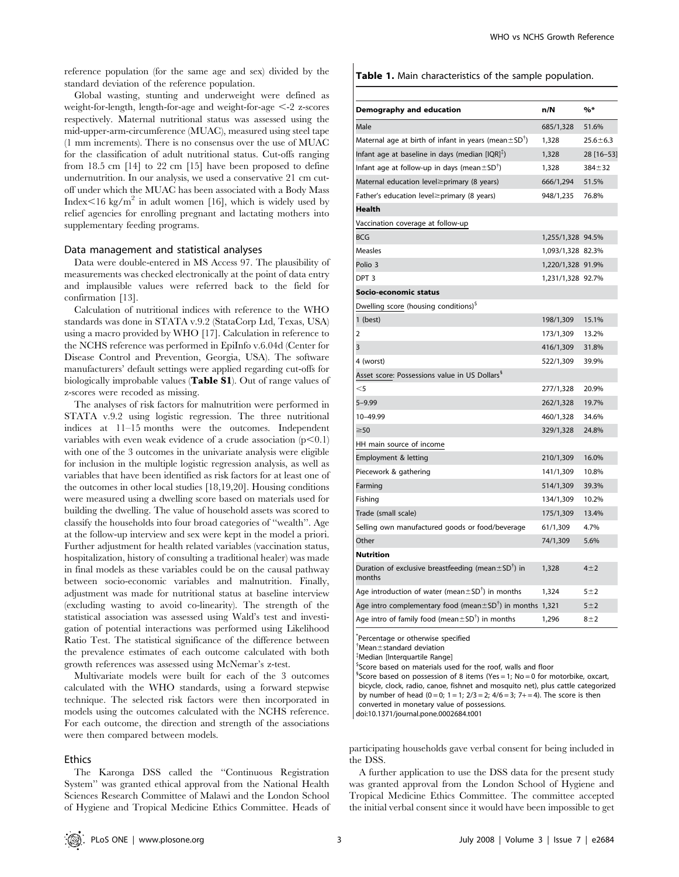reference population (for the same age and sex) divided by the standard deviation of the reference population.

Global wasting, stunting and underweight were defined as weight-for-length, length-for-age and weight-for-age  $\leq$ -2 z-scores respectively. Maternal nutritional status was assessed using the mid-upper-arm-circumference (MUAC), measured using steel tape (1 mm increments). There is no consensus over the use of MUAC for the classification of adult nutritional status. Cut-offs ranging from 18.5 cm [14] to 22 cm [15] have been proposed to define undernutrition. In our analysis, we used a conservative 21 cm cutoff under which the MUAC has been associated with a Body Mass Index $\leq 16$  kg/m<sup>2</sup> in adult women [16], which is widely used by relief agencies for enrolling pregnant and lactating mothers into supplementary feeding programs.

#### Data management and statistical analyses

Data were double-entered in MS Access 97. The plausibility of measurements was checked electronically at the point of data entry and implausible values were referred back to the field for confirmation [13].

Calculation of nutritional indices with reference to the WHO standards was done in STATA v.9.2 (StataCorp Ltd, Texas, USA) using a macro provided by WHO [17]. Calculation in reference to the NCHS reference was performed in EpiInfo v.6.04d (Center for Disease Control and Prevention, Georgia, USA). The software manufacturers' default settings were applied regarding cut-offs for biologically improbable values (Table S1). Out of range values of z-scores were recoded as missing.

The analyses of risk factors for malnutrition were performed in STATA v.9.2 using logistic regression. The three nutritional indices at 11–15 months were the outcomes. Independent variables with even weak evidence of a crude association  $(p<0.1)$ with one of the 3 outcomes in the univariate analysis were eligible for inclusion in the multiple logistic regression analysis, as well as variables that have been identified as risk factors for at least one of the outcomes in other local studies [18,19,20]. Housing conditions were measured using a dwelling score based on materials used for building the dwelling. The value of household assets was scored to classify the households into four broad categories of ''wealth''. Age at the follow-up interview and sex were kept in the model a priori. Further adjustment for health related variables (vaccination status, hospitalization, history of consulting a traditional healer) was made in final models as these variables could be on the causal pathway between socio-economic variables and malnutrition. Finally, adjustment was made for nutritional status at baseline interview (excluding wasting to avoid co-linearity). The strength of the statistical association was assessed using Wald's test and investigation of potential interactions was performed using Likelihood Ratio Test. The statistical significance of the difference between the prevalence estimates of each outcome calculated with both growth references was assessed using McNemar's z-test.

Multivariate models were built for each of the 3 outcomes calculated with the WHO standards, using a forward stepwise technique. The selected risk factors were then incorporated in models using the outcomes calculated with the NCHS reference. For each outcome, the direction and strength of the associations were then compared between models.

## Ethics

The Karonga DSS called the ''Continuous Registration System'' was granted ethical approval from the National Health Sciences Research Committee of Malawi and the London School of Hygiene and Tropical Medicine Ethics Committee. Heads of

#### Table 1. Main characteristics of the sample population.

|                                                                                | n/N               | $%$ *          |
|--------------------------------------------------------------------------------|-------------------|----------------|
| Demography and education                                                       |                   |                |
| Male                                                                           | 685/1,328         | 51.6%          |
| Maternal age at birth of infant in years (mean $\pm$ SD <sup>†</sup> )         | 1,328             | $25.6 \pm 6.3$ |
| Infant age at baseline in days (median $[IQR]^T$ )                             | 1,328             | 28 [16-53]     |
| Infant age at follow-up in days (mean $\pm$ SD <sup>†</sup> )                  | 1,328             | $384 + 32$     |
| Maternal education level≥primary (8 years)                                     | 666/1,294         | 51.5%          |
| Father's education level≥primary (8 years)                                     | 948/1,235         | 76.8%          |
| Health                                                                         |                   |                |
| Vaccination coverage at follow-up                                              |                   |                |
| <b>BCG</b>                                                                     | 1,255/1,328 94.5% |                |
| Measles                                                                        | 1,093/1,328 82.3% |                |
| Polio 3                                                                        | 1,220/1,328 91.9% |                |
| DPT <sub>3</sub>                                                               | 1,231/1,328 92.7% |                |
| Socio-economic status                                                          |                   |                |
| Dwelling score (housing conditions) <sup>5</sup>                               |                   |                |
| 1 (best)                                                                       | 198/1,309         | 15.1%          |
| 2                                                                              | 173/1,309         | 13.2%          |
| 3                                                                              | 416/1,309         | 31.8%          |
| 4 (worst)                                                                      | 522/1,309         | 39.9%          |
| <u>Asset score</u> : Possessions value in US Dollars <sup>§</sup>              |                   |                |
| $<$ 5                                                                          | 277/1,328         | 20.9%          |
| 5-9.99                                                                         | 262/1,328         | 19.7%          |
| 10-49.99                                                                       | 460/1,328         | 34.6%          |
| $\geq 50$                                                                      | 329/1,328         | 24.8%          |
| HH main source of income                                                       |                   |                |
| Employment & letting                                                           | 210/1,309         | 16.0%          |
| Piecework & gathering                                                          | 141/1,309         | 10.8%          |
| Farming                                                                        | 514/1,309         | 39.3%          |
| Fishing                                                                        | 134/1,309         | 10.2%          |
| Trade (small scale)                                                            | 175/1,309         | 13.4%          |
| Selling own manufactured goods or food/beverage                                | 61/1,309          | 4.7%           |
| Other                                                                          | 74/1,309          | 5.6%           |
| Nutrition                                                                      |                   |                |
| Duration of exclusive breastfeeding (mean $\pm$ SD <sup>†</sup> ) in<br>months | 1,328             | $4\pm2$        |
| Age introduction of water (mean $\pm$ SD <sup>†</sup> ) in months              | 1,324             | $5 + 2$        |
| Age intro complementary food (mean $\pm$ SD <sup>†</sup> ) in months 1,321     |                   | $5 + 2$        |
| Age intro of family food (mean $\pm$ SD <sup>†</sup> ) in months               | 1,296             | $8+2$          |

\* Percentage or otherwise specified

 $\dagger$ Mean $\pm$ standard deviation

Median [Interquartile Range]

<sup>\$</sup>Score based on materials used for the roof, walls and floor

<sup>§</sup>Score based on possession of 8 items (Yes = 1; No = 0 for motorbike, oxcart, bicycle, clock, radio, canoe, fishnet and mosquito net), plus cattle categorized

by number of head  $(0 = 0; 1 = 1; 2/3 = 2; 4/6 = 3; 7 += 4)$ . The score is then

converted in monetary value of possessions.

doi:10.1371/journal.pone.0002684.t001

participating households gave verbal consent for being included in the DSS.

A further application to use the DSS data for the present study was granted approval from the London School of Hygiene and Tropical Medicine Ethics Committee. The committee accepted the initial verbal consent since it would have been impossible to get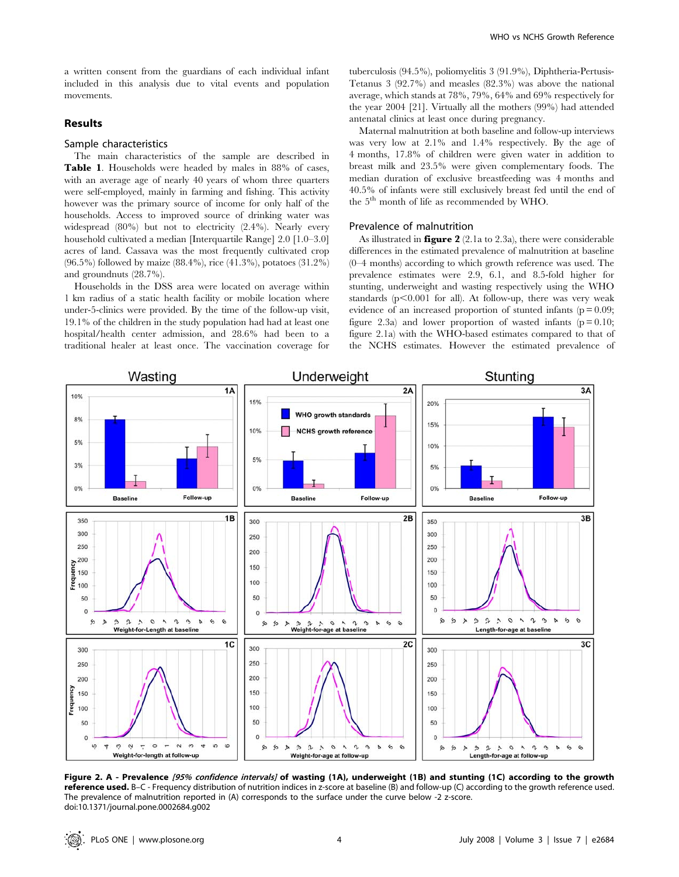a written consent from the guardians of each individual infant included in this analysis due to vital events and population movements.

# Results

## Sample characteristics

The main characteristics of the sample are described in Table 1. Households were headed by males in 88% of cases, with an average age of nearly 40 years of whom three quarters were self-employed, mainly in farming and fishing. This activity however was the primary source of income for only half of the households. Access to improved source of drinking water was widespread (80%) but not to electricity (2.4%). Nearly every household cultivated a median [Interquartile Range] 2.0 [1.0–3.0] acres of land. Cassava was the most frequently cultivated crop (96.5%) followed by maize (88.4%), rice (41.3%), potatoes (31.2%) and groundnuts (28.7%).

Households in the DSS area were located on average within 1 km radius of a static health facility or mobile location where under-5-clinics were provided. By the time of the follow-up visit, 19.1% of the children in the study population had had at least one hospital/health center admission, and 28.6% had been to a traditional healer at least once. The vaccination coverage for

tuberculosis (94.5%), poliomyelitis 3 (91.9%), Diphtheria-Pertusis-Tetanus 3 (92.7%) and measles (82.3%) was above the national average, which stands at 78%, 79%, 64% and 69% respectively for the year 2004 [21]. Virtually all the mothers (99%) had attended antenatal clinics at least once during pregnancy.

Maternal malnutrition at both baseline and follow-up interviews was very low at 2.1% and 1.4% respectively. By the age of 4 months, 17.8% of children were given water in addition to breast milk and 23.5% were given complementary foods. The median duration of exclusive breastfeeding was 4 months and 40.5% of infants were still exclusively breast fed until the end of the 5<sup>th</sup> month of life as recommended by WHO.

## Prevalence of malnutrition

As illustrated in **figure 2**  $(2.1a \text{ to } 2.3a)$ , there were considerable differences in the estimated prevalence of malnutrition at baseline (0–4 months) according to which growth reference was used. The prevalence estimates were 2.9, 6.1, and 8.5-fold higher for stunting, underweight and wasting respectively using the WHO standards  $(p<0.001$  for all). At follow-up, there was very weak evidence of an increased proportion of stunted infants ( $p = 0.09$ ; figure 2.3a) and lower proportion of wasted infants  $(p = 0.10;$ figure 2.1a) with the WHO-based estimates compared to that of the NCHS estimates. However the estimated prevalence of



Figure 2. A - Prevalence [95% confidence intervals] of wasting (1A), underweight (1B) and stunting (1C) according to the growth **reference used.** B–C - Frequency distribution of nutrition indices in z-score at baseline (B) and follow-up (C) according to the growth reference used. The prevalence of malnutrition reported in (A) corresponds to the surface under the curve below -2 z-score. doi:10.1371/journal.pone.0002684.g002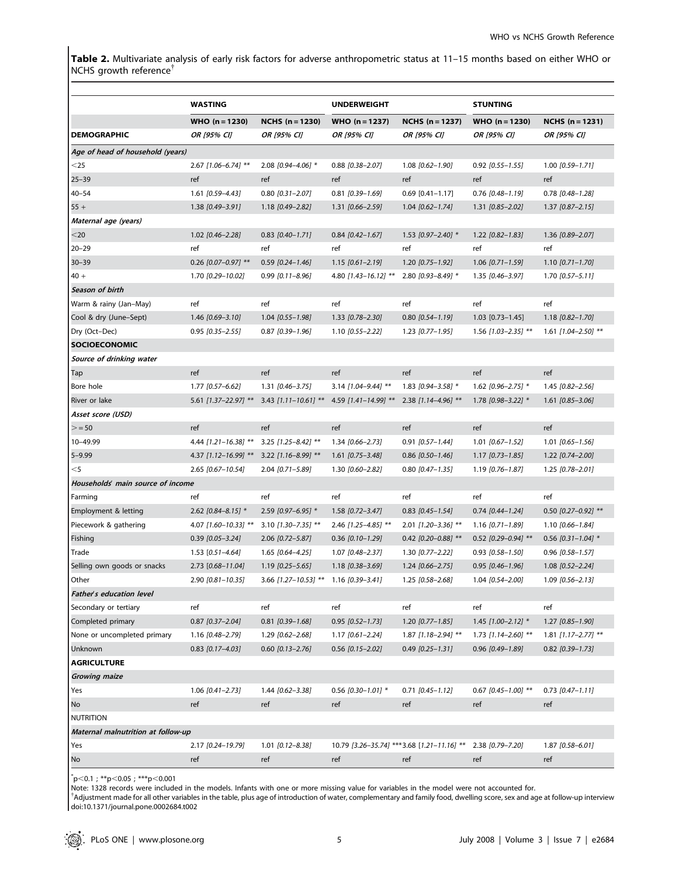Table 2. Multivariate analysis of early risk factors for adverse anthropometric status at 11–15 months based on either WHO or NCHS growth reference $^{\dagger}$ 

|                                    | <b>WASTING</b>           | <b>UNDERWEIGHT</b>       |                          |                                             | <b>STUNTING</b>        |                         |  |  |
|------------------------------------|--------------------------|--------------------------|--------------------------|---------------------------------------------|------------------------|-------------------------|--|--|
|                                    | $WHO (n = 1230)$         | $NCHS (n = 1230)$        | $WHO (n = 1237)$         | $NCHS (n = 1237)$                           | $WHO (n = 1230)$       | $NCHS (n = 1231)$       |  |  |
| <b>DEMOGRAPHIC</b>                 | <i>OR [95% CI]</i>       | <i>OR [95% CI]</i>       | <i>OR [95% CI]</i>       | <i>OR [95% CI]</i>                          | <i>OR [95% CI]</i>     | <i>OR [95% CI]</i>      |  |  |
| Age of head of household (years)   |                          |                          |                          |                                             |                        |                         |  |  |
| $<$ 25                             | $2.67$ [1.06-6.74] **    | 2.08 $[0.94 - 4.06]$ *   | $0.88$ [0.38-2.07]       | 1.08 [0.62-1.90]                            | $0.92$ [0.55-1.55]     | 1.00 [0.59-1.71]        |  |  |
| $25 - 39$                          | ref                      | ref                      | ref                      | ref                                         | ref                    | ref                     |  |  |
| $40 - 54$                          | $1.61$ [0.59-4.43]       | $0.80$ [0.31-2.07]       | $0.81$ [0.39-1.69]       | $0.69$ [0.41-1.17]                          | $0.76$ [0.48-1.19]     | $0.78$ [0.48-1.28]      |  |  |
| $55 +$                             | 1.38 [0.49-3.91]         | 1.18 [0.49-2.82]         | $1.31$ [0.66-2.59]       | $1.04$ [0.62-1.74]                          | 1.31 [0.85-2.02]       | $1.37$ [0.87-2.15]      |  |  |
| Maternal age (years)               |                          |                          |                          |                                             |                        |                         |  |  |
| $<$ 20                             | $1.02$ [0.46-2.28]       | $0.83$ [0.40-1.71]       | $0.84$ [0.42-1.67]       | 1.53 $[0.97 - 2.40]$ *                      | 1.22 [0.82-1.83]       | 1.36 [0.89-2.07]        |  |  |
| $20 - 29$                          | ref                      | ref                      | ref                      | ref                                         | ref                    | ref                     |  |  |
| $30 - 39$                          | $0.26$ [0.07-0.97] **    | $0.59$ [0.24-1.46]       | $1.15$ [0.61-2.19]       | 1.20 [0.75-1.92]                            | $1.06$ [0.71-1.59]     | $1.10$ [0.71-1.70]      |  |  |
| 40 +                               | 1.70 [0.29-10.02]        | $0.99$ [0.11-8.96]       | 4.80 $[1.43 - 16.12]$ ** | 2.80 [0.93-8.49] *                          | 1.35 [0.46-3.97]       | $1.70$ [0.57-5.11]      |  |  |
| Season of birth                    |                          |                          |                          |                                             |                        |                         |  |  |
| Warm & rainy (Jan-May)             | ref                      | ref                      | ref                      | ref                                         | ref                    | ref                     |  |  |
| Cool & dry (June-Sept)             | 1.46 [0.69-3.10]         | 1.04 [0.55-1.98]         | 1.33 [0.78-2.30]         | $0.80$ [0.54-1.19]                          | $1.03$ [0.73-1.45]     | 1.18 [0.82-1.70]        |  |  |
| Dry (Oct-Dec)                      | $0.95$ [0.35-2.55]       | $0.87$ [0.39-1.96]       | $1.10$ [0.55–2.22]       | $1.23$ [0.77–1.95]                          | $1.56$ [1.03-2.35] **  | $1.61$ [1.04-2.50] **   |  |  |
| <b>SOCIOECONOMIC</b>               |                          |                          |                          |                                             |                        |                         |  |  |
| Source of drinking water           |                          |                          |                          |                                             |                        |                         |  |  |
| Tap                                | ref                      | ref                      | ref                      | ref                                         | ref                    | ref                     |  |  |
| Bore hole                          | 1.77 [0.57-6.62]         | $1.31$ [0.46-3.75]       | 3.14 $[1.04 - 9.44]$ **  | 1.83 [0.94-3.58] *                          | 1.62 $[0.96 - 2.75]$ * | 1.45 [0.82-2.56]        |  |  |
| River or lake                      | 5.61 [1.37-22.97] **     | 3.43 $[1.11 - 10.61]$ ** | 4.59 $[1.41 - 14.99]$ ** | 2.38 $[1.14 - 4.96]$ **                     | 1.78 $[0.98 - 3.22]$ * | 1.61 [0.85-3.06]        |  |  |
| Asset score (USD)                  |                          |                          |                          |                                             |                        |                         |  |  |
| $> = 50$                           | ref                      | ref                      | ref                      | ref                                         | ref                    | ref                     |  |  |
| 10-49.99                           | 4.44 $[1.21 - 16.38]$ ** | 3.25 $[1.25 - 8.42]$ **  | 1.34 [0.66-2.73]         | $0.91$ [0.57-1.44]                          | $1.01$ [0.67-1.52]     | $1.01$ [0.65-1.56]      |  |  |
| $5 - 9.99$                         | 4.37 $[1.12 - 16.99]$ ** | 3.22 $[1.16 - 8.99]$ **  | $1.61$ [0.75-3.48]       | $0.86$ [0.50-1.46]                          | $1.17$ [0.73-1.85]     | 1.22 [0.74-2.00]        |  |  |
| $<$ 5                              | 2.65 [0.67-10.54]        | 2.04 [0.71-5.89]         | 1.30 [0.60-2.82]         | $0.80$ [0.47-1.35]                          | 1.19 [0.76-1.87]       | 1.25 [0.78-2.01]        |  |  |
| Households' main source of income  |                          |                          |                          |                                             |                        |                         |  |  |
| Farming                            | ref                      | ref                      | ref                      | ref                                         | ref                    | ref                     |  |  |
| Employment & letting               | 2.62 $[0.84 - 8.15]$ *   | $2.59$ [0.97-6.95] *     | $1.58$ [0.72-3.47]       | $0.83$ [0.45-1.54]                          | $0.74$ [0.44-1.24]     | 0.50 $[0.27 - 0.92]$ ** |  |  |
| Piecework & gathering              | 4.07 $[1.60 - 10.33]$ ** | 3.10 $[1.30 - 7.35]$ **  | $2.46$ [1.25-4.85] **    | $2.01$ [1.20-3.36] **                       | 1.16 [0.71–1.89]       | $1.10$ [0.66-1.84]      |  |  |
| Fishing                            | $0.39$ [0.05-3.24]       | $2.06$ [0.72-5.87]       | $0.36$ [0.10-1.29]       | 0.42 $[0.20 - 0.88]$ **                     | $0.52$ [0.29-0.94] **  | 0.56 $[0.31 - 1.04]$ *  |  |  |
| Trade                              | $1.53$ [0.51-4.64]       | $1.65$ [0.64-4.25]       | 1.07 [0.48-2.37]         | 1.30 [0.77-2.22]                            | $0.93$ [0.58-1.50]     | $0.96$ [0.58-1.57]      |  |  |
| Selling own goods or snacks        | 2.73 [0.68-11.04]        | 1.19 [0.25-5.65]         | 1.18 [0.38-3.69]         | $1.24$ [0.66-2.75]                          | $0.95$ [0.46-1.96]     | 1.08 [0.52-2.24]        |  |  |
| Other                              | 2.90 [0.81-10.35]        | 3.66 [1.27-10.53] **     | 1.16 [0.39-3.41]         | 1.25 [0.58-2.68]                            | 1.04 [0.54-2.00]       | 1.09 [0.56-2.13]        |  |  |
| Father's education level           |                          |                          |                          |                                             |                        |                         |  |  |
| Secondary or tertiary              | ref                      | ref                      | ref                      | ref                                         | ref                    | ref                     |  |  |
| Completed primary                  | $0.87$ [0.37-2.04]       | $0.81$ [0.39-1.68]       | $0.95$ [0.52-1.73]       | 1.20 [0.77-1.85]                            | 1.45 [1.00-2.12] *     | 1.27 [0.85-1.90]        |  |  |
| None or uncompleted primary        | 1.16 [0.48-2.79]         | 1.29 [0.62-2.68]         | 1.17 [0.61-2.24]         | 1.87 [1.18-2.94] **                         | $1.73$ [1.14-2.60] **  | $1.81$ [1.17-2.77] **   |  |  |
| Unknown                            | $0.83$ [0.17-4.03]       | $0.60$ [0.13-2.76]       | $0.56$ [0.15-2.02]       | $0.49$ [0.25-1.31]                          | 0.96 [0.49-1.89]       | $0.82$ [0.39-1.73]      |  |  |
| <b>AGRICULTURE</b>                 |                          |                          |                          |                                             |                        |                         |  |  |
| <b>Growing maize</b>               |                          |                          |                          |                                             |                        |                         |  |  |
| Yes                                | $1.06$ [0.41-2.73]       | 1.44 [0.62-3.38]         | 0.56 $[0.30 - 1.01]$ *   | $0.71$ [0.45-1.12]                          | $0.67$ [0.45-1.00] **  | $0.73$ [0.47-1.11]      |  |  |
| No                                 | ref                      | ref                      | ref                      | ref                                         | ref                    | ref                     |  |  |
| <b>NUTRITION</b>                   |                          |                          |                          |                                             |                        |                         |  |  |
| Maternal malnutrition at follow-up |                          |                          |                          |                                             |                        |                         |  |  |
| Yes                                | 2.17 [0.24-19.79]        | 1.01 [0.12-8.38]         |                          | 10.79 [3.26-35.74] *** 3.68 [1.21-11.16] ** | 2.38 [0.79-7.20]       | 1.87 [0.58-6.01]        |  |  |
| No                                 | ref                      | ref                      | ref                      | ref                                         | ref                    | ref                     |  |  |

 $p^*$ p $<$ 0.1 ; \*\*p $<$ 0.05 ; \*\*\*p $<$ 0.001

Note: 1328 records were included in the models. Infants with one or more missing value for variables in the model were not accounted for.

{ Adjustment made for all other variables in the table, plus age of introduction of water, complementary and family food, dwelling score, sex and age at follow-up interview doi:10.1371/journal.pone.0002684.t002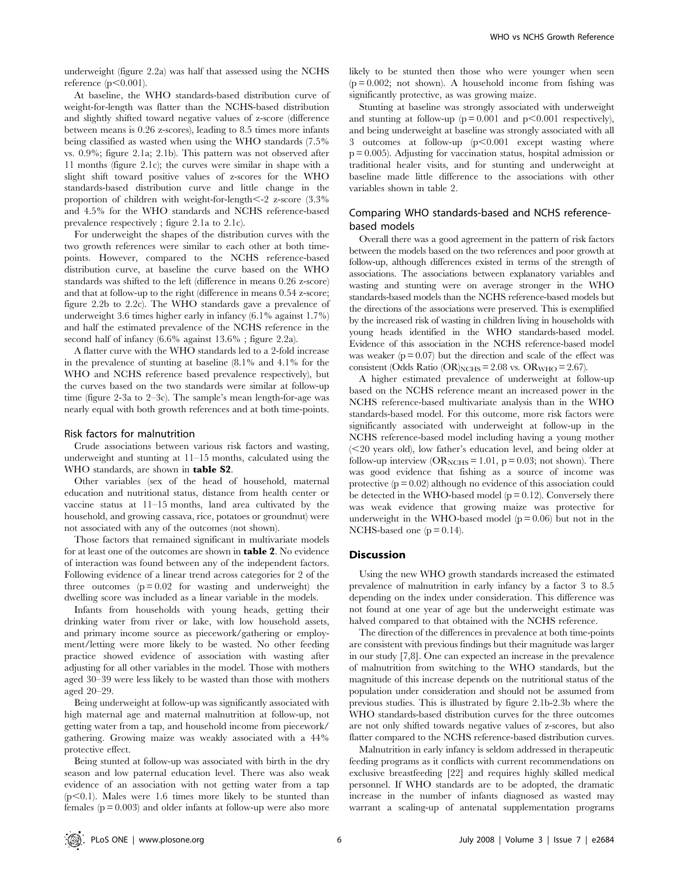underweight (figure 2.2a) was half that assessed using the NCHS reference  $(p<0.001)$ .

At baseline, the WHO standards-based distribution curve of weight-for-length was flatter than the NCHS-based distribution and slightly shifted toward negative values of z-score (difference between means is 0.26 z-scores), leading to 8.5 times more infants being classified as wasted when using the WHO standards (7.5% vs. 0.9%; figure 2.1a; 2.1b). This pattern was not observed after 11 months (figure 2.1c); the curves were similar in shape with a slight shift toward positive values of z-scores for the WHO standards-based distribution curve and little change in the proportion of children with weight-for-length $\leq$ -2 z-score (3.3% and 4.5% for the WHO standards and NCHS reference-based prevalence respectively ; figure 2.1a to 2.1c).

For underweight the shapes of the distribution curves with the two growth references were similar to each other at both timepoints. However, compared to the NCHS reference-based distribution curve, at baseline the curve based on the WHO standards was shifted to the left (difference in means 0.26 z-score) and that at follow-up to the right (difference in means 0.54 z-score; figure 2.2b to 2.2c). The WHO standards gave a prevalence of underweight 3.6 times higher early in infancy (6.1% against 1.7%) and half the estimated prevalence of the NCHS reference in the second half of infancy (6.6% against 13.6% ; figure 2.2a).

A flatter curve with the WHO standards led to a 2-fold increase in the prevalence of stunting at baseline (8.1% and 4.1% for the WHO and NCHS reference based prevalence respectively), but the curves based on the two standards were similar at follow-up time (figure 2-3a to 2–3c). The sample's mean length-for-age was nearly equal with both growth references and at both time-points.

## Risk factors for malnutrition

Crude associations between various risk factors and wasting, underweight and stunting at 11–15 months, calculated using the WHO standards, are shown in table S2.

Other variables (sex of the head of household, maternal education and nutritional status, distance from health center or vaccine status at 11–15 months, land area cultivated by the household, and growing cassava, rice, potatoes or groundnut) were not associated with any of the outcomes (not shown).

Those factors that remained significant in multivariate models for at least one of the outcomes are shown in table 2. No evidence of interaction was found between any of the independent factors. Following evidence of a linear trend across categories for 2 of the three outcomes  $(p = 0.02$  for wasting and underweight) the dwelling score was included as a linear variable in the models.

Infants from households with young heads, getting their drinking water from river or lake, with low household assets, and primary income source as piecework/gathering or employment/letting were more likely to be wasted. No other feeding practice showed evidence of association with wasting after adjusting for all other variables in the model. Those with mothers aged 30–39 were less likely to be wasted than those with mothers aged 20–29.

Being underweight at follow-up was significantly associated with high maternal age and maternal malnutrition at follow-up, not getting water from a tap, and household income from piecework/ gathering. Growing maize was weakly associated with a 44% protective effect.

Being stunted at follow-up was associated with birth in the dry season and low paternal education level. There was also weak evidence of an association with not getting water from a tap  $(p<0.1)$ . Males were 1.6 times more likely to be stunted than females  $(p = 0.003)$  and older infants at follow-up were also more

likely to be stunted then those who were younger when seen  $(p = 0.002;$  not shown). A household income from fishing was significantly protective, as was growing maize.

Stunting at baseline was strongly associated with underweight and stunting at follow-up ( $p = 0.001$  and  $p \le 0.001$  respectively), and being underweight at baseline was strongly associated with all 3 outcomes at follow-up  $(p<0.001$  except wasting where  $p = 0.005$ ). Adjusting for vaccination status, hospital admission or traditional healer visits, and for stunting and underweight at baseline made little difference to the associations with other variables shown in table 2.

# Comparing WHO standards-based and NCHS referencebased models

Overall there was a good agreement in the pattern of risk factors between the models based on the two references and poor growth at follow-up, although differences existed in terms of the strength of associations. The associations between explanatory variables and wasting and stunting were on average stronger in the WHO standards-based models than the NCHS reference-based models but the directions of the associations were preserved. This is exemplified by the increased risk of wasting in children living in households with young heads identified in the WHO standards-based model. Evidence of this association in the NCHS reference-based model was weaker  $(p = 0.07)$  but the direction and scale of the effect was consistent (Odds Ratio (OR) $_{\text{NCHS}}$  = 2.08 vs. OR<sub>WHO</sub> = 2.67).

A higher estimated prevalence of underweight at follow-up based on the NCHS reference meant an increased power in the NCHS reference-based multivariate analysis than in the WHO standards-based model. For this outcome, more risk factors were significantly associated with underweight at follow-up in the NCHS reference-based model including having a young mother  $(<20$  years old), low father's education level, and being older at follow-up interview  $(OR<sub>NCHS</sub> = 1.01, p = 0.03; not shown)$ . There was good evidence that fishing as a source of income was protective  $(p = 0.02)$  although no evidence of this association could be detected in the WHO-based model  $(p = 0.12)$ . Conversely there was weak evidence that growing maize was protective for underweight in the WHO-based model  $(p = 0.06)$  but not in the NCHS-based one  $(p = 0.14)$ .

## Discussion

Using the new WHO growth standards increased the estimated prevalence of malnutrition in early infancy by a factor 3 to 8.5 depending on the index under consideration. This difference was not found at one year of age but the underweight estimate was halved compared to that obtained with the NCHS reference.

The direction of the differences in prevalence at both time-points are consistent with previous findings but their magnitude was larger in our study [7,8]. One can expected an increase in the prevalence of malnutrition from switching to the WHO standards, but the magnitude of this increase depends on the nutritional status of the population under consideration and should not be assumed from previous studies. This is illustrated by figure 2.1b-2.3b where the WHO standards-based distribution curves for the three outcomes are not only shifted towards negative values of z-scores, but also flatter compared to the NCHS reference-based distribution curves.

Malnutrition in early infancy is seldom addressed in therapeutic feeding programs as it conflicts with current recommendations on exclusive breastfeeding [22] and requires highly skilled medical personnel. If WHO standards are to be adopted, the dramatic increase in the number of infants diagnosed as wasted may warrant a scaling-up of antenatal supplementation programs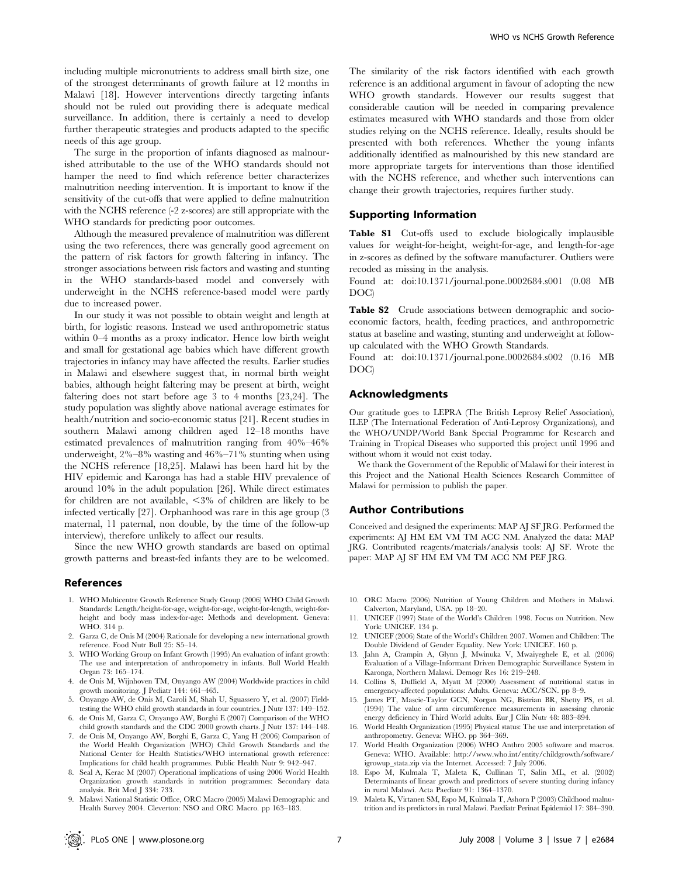including multiple micronutrients to address small birth size, one of the strongest determinants of growth failure at 12 months in Malawi [18]. However interventions directly targeting infants should not be ruled out providing there is adequate medical surveillance. In addition, there is certainly a need to develop further therapeutic strategies and products adapted to the specific needs of this age group.

The surge in the proportion of infants diagnosed as malnourished attributable to the use of the WHO standards should not hamper the need to find which reference better characterizes malnutrition needing intervention. It is important to know if the sensitivity of the cut-offs that were applied to define malnutrition with the NCHS reference (-2 z-scores) are still appropriate with the WHO standards for predicting poor outcomes.

Although the measured prevalence of malnutrition was different using the two references, there was generally good agreement on the pattern of risk factors for growth faltering in infancy. The stronger associations between risk factors and wasting and stunting in the WHO standards-based model and conversely with underweight in the NCHS reference-based model were partly due to increased power.

In our study it was not possible to obtain weight and length at birth, for logistic reasons. Instead we used anthropometric status within 0–4 months as a proxy indicator. Hence low birth weight and small for gestational age babies which have different growth trajectories in infancy may have affected the results. Earlier studies in Malawi and elsewhere suggest that, in normal birth weight babies, although height faltering may be present at birth, weight faltering does not start before age 3 to 4 months [23,24]. The study population was slightly above national average estimates for health/nutrition and socio-economic status [21]. Recent studies in southern Malawi among children aged 12–18 months have estimated prevalences of malnutrition ranging from 40%–46% underweight, 2%–8% wasting and 46%–71% stunting when using the NCHS reference [18,25]. Malawi has been hard hit by the HIV epidemic and Karonga has had a stable HIV prevalence of around 10% in the adult population [26]. While direct estimates for children are not available,  $\leq 3\%$  of children are likely to be infected vertically [27]. Orphanhood was rare in this age group (3 maternal, 11 paternal, non double, by the time of the follow-up interview), therefore unlikely to affect our results.

Since the new WHO growth standards are based on optimal growth patterns and breast-fed infants they are to be welcomed.

#### References

- 1. WHO Multicentre Growth Reference Study Group (2006) WHO Child Growth Standards: Length/height-for-age, weight-for-age, weight-for-length, weight-forheight and body mass index-for-age: Methods and development. Geneva: WHO. 314 p.
- 2. Garza C, de Onis M (2004) Rationale for developing a new international growth reference. Food Nutr Bull 25: S5–14.
- 3. WHO Working Group on Infant Growth (1995) An evaluation of infant growth: The use and interpretation of anthropometry in infants. Bull World Health Organ 73: 165–174.
- 4. de Onis M, Wijnhoven TM, Onyango AW (2004) Worldwide practices in child growth monitoring. J Pediatr 144: 461–465.
- 5. Onyango AW, de Onis M, Caroli M, Shah U, Sguassero Y, et al. (2007) Fieldtesting the WHO child growth standards in four countries. J Nutr 137: 149–152.
- 6. de Onis M, Garza C, Onyango AW, Borghi E (2007) Comparison of the WHO child growth standards and the CDC 2000 growth charts. J Nutr 137: 144–148.
- 7. de Onis M, Onyango AW, Borghi E, Garza C, Yang H (2006) Comparison of the World Health Organization (WHO) Child Growth Standards and the National Center for Health Statistics/WHO international growth reference: Implications for child health programmes. Public Health Nutr 9: 942–947.
- 8. Seal A, Kerac M (2007) Operational implications of using 2006 World Health Organization growth standards in nutrition programmes: Secondary data analysis. Brit Med J 334: 733.
- 9. Malawi National Statistic Office, ORC Macro (2005) Malawi Demographic and Health Survey 2004. Cleverton: NSO and ORC Macro. pp 163–183.

The similarity of the risk factors identified with each growth reference is an additional argument in favour of adopting the new WHO growth standards. However our results suggest that considerable caution will be needed in comparing prevalence estimates measured with WHO standards and those from older studies relying on the NCHS reference. Ideally, results should be presented with both references. Whether the young infants additionally identified as malnourished by this new standard are more appropriate targets for interventions than those identified with the NCHS reference, and whether such interventions can change their growth trajectories, requires further study.

#### Supporting Information

Table S1 Cut-offs used to exclude biologically implausible values for weight-for-height, weight-for-age, and length-for-age in z-scores as defined by the software manufacturer. Outliers were recoded as missing in the analysis.

Found at: doi:10.1371/journal.pone.0002684.s001 (0.08 MB DOC)

Table S2 Crude associations between demographic and socioeconomic factors, health, feeding practices, and anthropometric status at baseline and wasting, stunting and underweight at followup calculated with the WHO Growth Standards.

Found at: doi:10.1371/journal.pone.0002684.s002 (0.16 MB DOC)

# Acknowledgments

Our gratitude goes to LEPRA (The British Leprosy Relief Association), ILEP (The International Federation of Anti-Leprosy Organizations), and the WHO/UNDP/World Bank Special Programme for Research and Training in Tropical Diseases who supported this project until 1996 and without whom it would not exist today.

We thank the Government of the Republic of Malawi for their interest in this Project and the National Health Sciences Research Committee of Malawi for permission to publish the paper.

## Author Contributions

Conceived and designed the experiments: MAP AJ SF JRG. Performed the experiments: AJ HM EM VM TM ACC NM. Analyzed the data: MAP JRG. Contributed reagents/materials/analysis tools: AJ SF. Wrote the paper: MAP AJ SF HM EM VM TM ACC NM PEF JRG.

- 10. ORC Macro (2006) Nutrition of Young Children and Mothers in Malawi. Calverton, Maryland, USA. pp 18–20.
- 11. UNICEF (1997) State of the World's Children 1998. Focus on Nutrition. New York: UNICEF. 134 p.
- 12. UNICEF (2006) State of the World's Children 2007. Women and Children: The Double Dividend of Gender Equality. New York: UNICEF. 160 p.
- 13. Jahn A, Crampin A, Glynn J, Mwinuka V, Mwaiyeghele E, et al. (2006) Evaluation of a Village-Informant Driven Demographic Surveillance System in Karonga, Northern Malawi. Demogr Res 16: 219–248.
- 14. Collins S, Duffield A, Myatt M (2000) Assessment of nutritional status in emergency-affected populations: Adults. Geneva: ACC/SCN. pp 8–9.
- 15. James PT, Mascie-Taylor GCN, Norgan NG, Bistrian BR, Shetty PS, et al. (1994) The value of arm circumference measurements in assessing chronic energy deficiency in Third World adults. Eur J Clin Nutr 48: 883–894.
- 16. World Health Organization (1995) Physical status: The use and interpretation of anthropometry. Geneva: WHO. pp 364–369.
- 17. World Health Organization (2006) WHO Anthro 2005 software and macros. Geneva: WHO. Available: http://www.who.int/entity/childgrowth/software/ igrowup\_stata.zip via the Internet. Accessed: 7 July 2006.
- 18. Espo M, Kulmala T, Maleta K, Cullinan T, Salin ML, et al. (2002) Determinants of linear growth and predictors of severe stunting during infancy in rural Malawi. Acta Paediatr 91: 1364–1370.
- 19. Maleta K, Virtanen SM, Espo M, Kulmala T, Ashorn P (2003) Childhood malnutrition and its predictors in rural Malawi. Paediatr Perinat Epidemiol 17: 384–390.